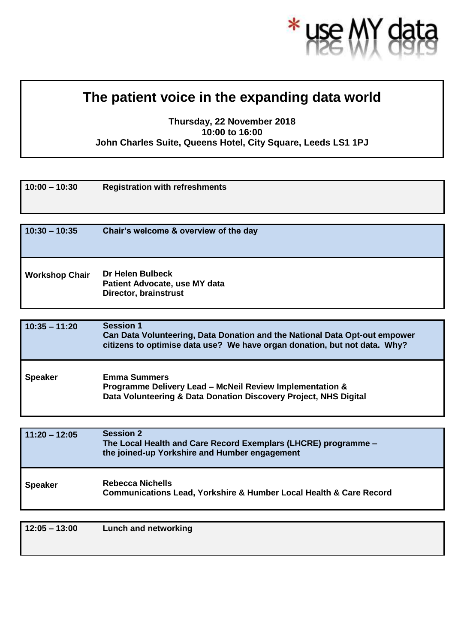

## **The patient voice in the expanding data world**

## **Thursday, 22 November 2018 10:00 to 16:00 John Charles Suite, Queens Hotel, City Square, Leeds LS1 1PJ**

| $10:00 - 10:30$       | <b>Registration with refreshments</b>                                                    |
|-----------------------|------------------------------------------------------------------------------------------|
| $10:30 - 10:35$       | Chair's welcome & overview of the day                                                    |
| <b>Workshop Chair</b> | <b>Dr Helen Bulbeck</b><br>Patient Advocate, use MY data<br><b>Director, brainstrust</b> |
|                       |                                                                                          |

| $10:35 - 11:20$ | <b>Session 1</b><br>Can Data Volunteering, Data Donation and the National Data Opt-out empower<br>citizens to optimise data use? We have organ donation, but not data. Why? |
|-----------------|-----------------------------------------------------------------------------------------------------------------------------------------------------------------------------|
| <b>Speaker</b>  | <b>Emma Summers</b><br>Programme Delivery Lead - McNeil Review Implementation &<br>Data Volunteering & Data Donation Discovery Project, NHS Digital                         |

| $11:20 - 12:05$ | <b>Session 2</b><br>The Local Health and Care Record Exemplars (LHCRE) programme -<br>the joined-up Yorkshire and Humber engagement |
|-----------------|-------------------------------------------------------------------------------------------------------------------------------------|
| <b>Speaker</b>  | Rebecca Nichells<br><b>Communications Lead, Yorkshire &amp; Humber Local Health &amp; Care Record</b>                               |

**12:05 – 13:00 Lunch and networking**